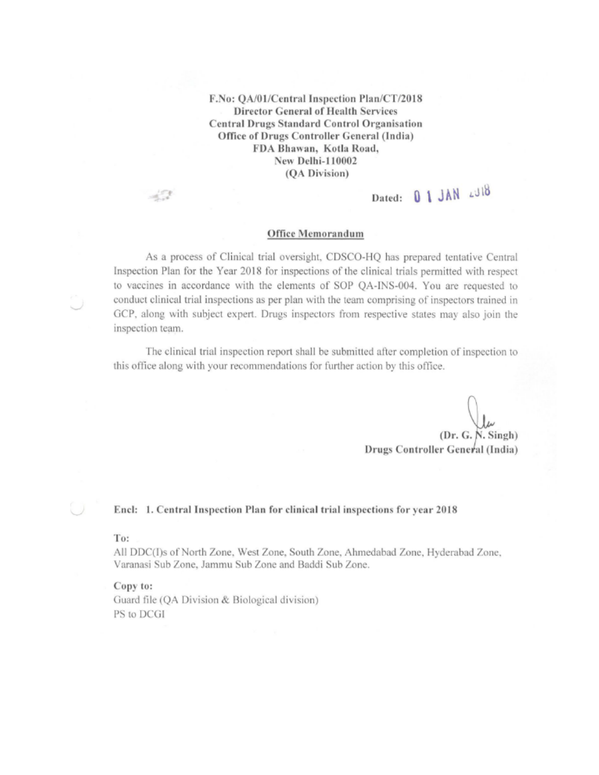F.No: QA/01/Central Inspection Plan/CT/2018 **Director General of Health Services Central Drugs Standard Control Organisation** Office of Drugs Controller General (India) FDA Bhawan, Kotla Road, New Delhi-110002 (QA Division)

43

# Dated: 0 1 JAN 2318

#### Office Memorandum

As a process of Clinical trial oversight, CDSCO-HQ has prepared tentative Central Inspection Plan for the Year 2018 for inspections of the clinical trials permitted with respect to vaccines in accordance with the elements of SOP QA-INS-004. You are requested to conduct clinical trial inspections as per plan with the team comprising of inspectors trained in GCP, along with subject expert. Drugs inspectors from respective states may also join the inspection team.

The clinical trial inspection report shall be submitted after completion of inspection to this office along with your recommendations for further action by this office.

 $(Dr. G. N.$  Singh $)$ Drugs Controller General (India)

#### Encl: 1. Central Inspection Plan for clinical trial inspections for year 2018

To:

All DDC(I)s of North Zone, West Zone, South Zone, Ahmedabad Zone, Hyderabad Zone, Varanasi Sub Zone, Jammu Sub Zone and Baddi Sub Zone.

Copy to: Guard file (QA Division & Biological division) PS to DCGI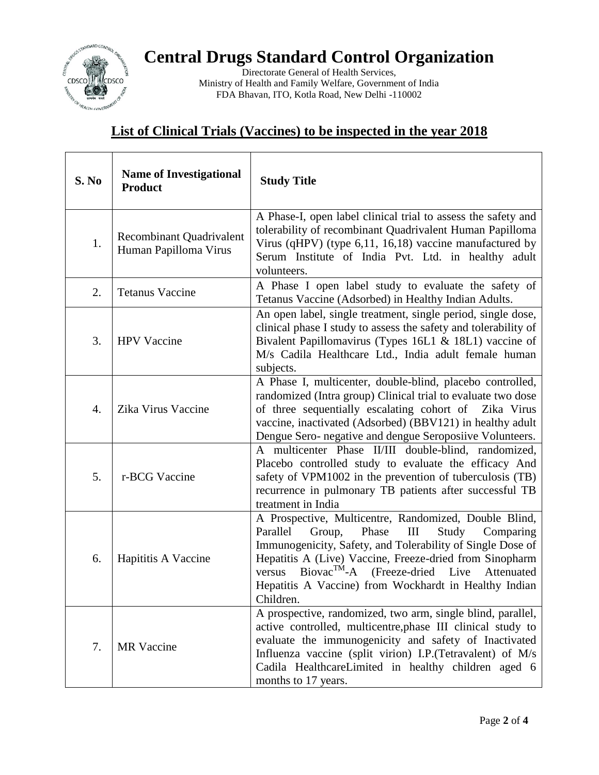

## **Central Drugs Standard Control Organization**

Directorate General of Health Services, Ministry of Health and Family Welfare, Government of India FDA Bhavan, ITO, Kotla Road, New Delhi -110002

### **List of Clinical Trials (Vaccines) to be inspected in the year 2018**

| S. No | <b>Name of Investigational</b><br><b>Product</b>         | <b>Study Title</b>                                                                                                                                                                                                                                                                                                                                                                     |
|-------|----------------------------------------------------------|----------------------------------------------------------------------------------------------------------------------------------------------------------------------------------------------------------------------------------------------------------------------------------------------------------------------------------------------------------------------------------------|
| 1.    | <b>Recombinant Quadrivalent</b><br>Human Papilloma Virus | A Phase-I, open label clinical trial to assess the safety and<br>tolerability of recombinant Quadrivalent Human Papilloma<br>Virus (qHPV) (type 6,11, 16,18) vaccine manufactured by<br>Serum Institute of India Pvt. Ltd. in healthy adult<br>volunteers.                                                                                                                             |
| 2.    | <b>Tetanus Vaccine</b>                                   | A Phase I open label study to evaluate the safety of<br>Tetanus Vaccine (Adsorbed) in Healthy Indian Adults.                                                                                                                                                                                                                                                                           |
| 3.    | <b>HPV</b> Vaccine                                       | An open label, single treatment, single period, single dose,<br>clinical phase I study to assess the safety and tolerability of<br>Bivalent Papillomavirus (Types 16L1 & 18L1) vaccine of<br>M/s Cadila Healthcare Ltd., India adult female human<br>subjects.                                                                                                                         |
| 4.    | Zika Virus Vaccine                                       | A Phase I, multicenter, double-blind, placebo controlled,<br>randomized (Intra group) Clinical trial to evaluate two dose<br>of three sequentially escalating cohort of Zika Virus<br>vaccine, inactivated (Adsorbed) (BBV121) in healthy adult<br>Dengue Sero- negative and dengue Seroposiive Volunteers.                                                                            |
| 5.    | r-BCG Vaccine                                            | A multicenter Phase II/III double-blind, randomized,<br>Placebo controlled study to evaluate the efficacy And<br>safety of VPM1002 in the prevention of tuberculosis (TB)<br>recurrence in pulmonary TB patients after successful TB<br>treatment in India                                                                                                                             |
| 6.    | Hapititis A Vaccine                                      | A Prospective, Multicentre, Randomized, Double Blind,<br>Parallel<br>Phase<br>Group,<br>III<br>Study<br>Comparing<br>Immunogenicity, Safety, and Tolerability of Single Dose of<br>Hepatitis A (Live) Vaccine, Freeze-dried from Sinopharm<br>Biovac <sup>TM</sup> -A (Freeze-dried Live<br>versus<br>Attenuated<br>Hepatitis A Vaccine) from Wockhardt in Healthy Indian<br>Children. |
| 7.    | <b>MR</b> Vaccine                                        | A prospective, randomized, two arm, single blind, parallel,<br>active controlled, multicentre, phase III clinical study to<br>evaluate the immunogenicity and safety of Inactivated<br>Influenza vaccine (split virion) I.P. (Tetravalent) of M/s<br>Cadila HealthcareLimited in healthy children aged 6<br>months to 17 years.                                                        |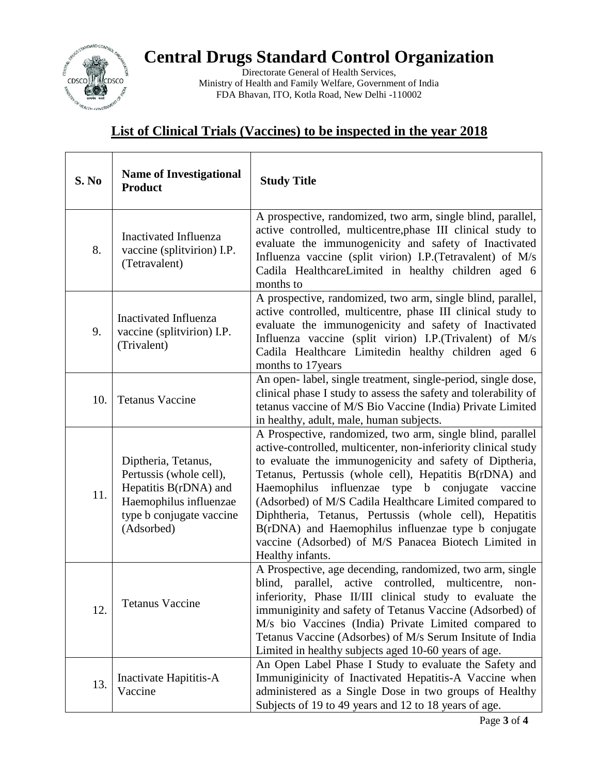

## **Central Drugs Standard Control Organization**

Directorate General of Health Services, Ministry of Health and Family Welfare, Government of India FDA Bhavan, ITO, Kotla Road, New Delhi -110002

### **List of Clinical Trials (Vaccines) to be inspected in the year 2018**

| S. No | <b>Name of Investigational</b><br><b>Product</b>                                                                                            | <b>Study Title</b>                                                                                                                                                                                                                                                                                                                                                                                                                                                                                                                                              |
|-------|---------------------------------------------------------------------------------------------------------------------------------------------|-----------------------------------------------------------------------------------------------------------------------------------------------------------------------------------------------------------------------------------------------------------------------------------------------------------------------------------------------------------------------------------------------------------------------------------------------------------------------------------------------------------------------------------------------------------------|
| 8.    | Inactivated Influenza<br>vaccine (splitvirion) I.P.<br>(Tetravalent)                                                                        | A prospective, randomized, two arm, single blind, parallel,<br>active controlled, multicentre, phase III clinical study to<br>evaluate the immunogenicity and safety of Inactivated<br>Influenza vaccine (split virion) I.P. (Tetravalent) of M/s<br>Cadila HealthcareLimited in healthy children aged 6<br>months to                                                                                                                                                                                                                                           |
| 9.    | Inactivated Influenza<br>vaccine (splitvirion) I.P.<br>(Trivalent)                                                                          | A prospective, randomized, two arm, single blind, parallel,<br>active controlled, multicentre, phase III clinical study to<br>evaluate the immunogenicity and safety of Inactivated<br>Influenza vaccine (split virion) I.P.(Trivalent) of M/s<br>Cadila Healthcare Limitedin healthy children aged 6<br>months to 17 years                                                                                                                                                                                                                                     |
| 10.   | <b>Tetanus Vaccine</b>                                                                                                                      | An open- label, single treatment, single-period, single dose,<br>clinical phase I study to assess the safety and tolerability of<br>tetanus vaccine of M/S Bio Vaccine (India) Private Limited<br>in healthy, adult, male, human subjects.                                                                                                                                                                                                                                                                                                                      |
| 11.   | Diptheria, Tetanus,<br>Pertussis (whole cell),<br>Hepatitis B(rDNA) and<br>Haemophilus influenzae<br>type b conjugate vaccine<br>(Adsorbed) | A Prospective, randomized, two arm, single blind, parallel<br>active-controlled, multicenter, non-inferiority clinical study<br>to evaluate the immunogenicity and safety of Diptheria,<br>Tetanus, Pertussis (whole cell), Hepatitis B(rDNA) and<br>Haemophilus influenzae type b conjugate<br>vaccine<br>(Adsorbed) of M/S Cadila Healthcare Limited compared to<br>Diphtheria, Tetanus, Pertussis (whole cell), Hepatitis<br>B(rDNA) and Haemophilus influenzae type b conjugate<br>vaccine (Adsorbed) of M/S Panacea Biotech Limited in<br>Healthy infants. |
| 12.   | <b>Tetanus Vaccine</b>                                                                                                                      | A Prospective, age decending, randomized, two arm, single<br>blind, parallel, active controlled, multicentre,<br>non-<br>inferiority, Phase II/III clinical study to evaluate the<br>immuniginity and safety of Tetanus Vaccine (Adsorbed) of<br>M/s bio Vaccines (India) Private Limited compared to<br>Tetanus Vaccine (Adsorbes) of M/s Serum Insitute of India<br>Limited in healthy subjects aged 10-60 years of age.                                                                                                                                      |
| 13.   | Inactivate Hapititis-A<br>Vaccine                                                                                                           | An Open Label Phase I Study to evaluate the Safety and<br>Immuniginicity of Inactivated Hepatitis-A Vaccine when<br>administered as a Single Dose in two groups of Healthy<br>Subjects of 19 to 49 years and 12 to 18 years of age.                                                                                                                                                                                                                                                                                                                             |